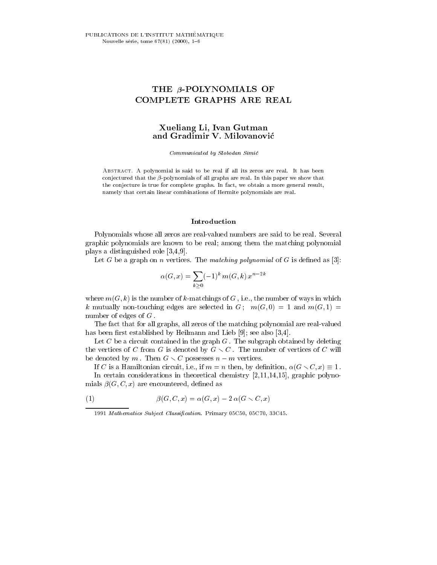# THE  $\beta$ -POLYNOMIALS OF COMPLETE GRAPHS ARE REAL

# Xueliang Li, Ivan Gutman and Gradimir V. Milovanovic

Communicated by Slobodan Simic

Abstract. A polynomial is said to be real if all its zeros are real. It has been conjectured that the  $\beta$ -polynomials of all graphs are real. In this paper we show that the conjecture is true for complete graphs. In fact, we obtain a more general result, namely that certain linear combinations of Hermite polynomials are real.

#### Introduction

Polynomials whose all zeros are real-valued numbers are said to be real. Several graphic polynomials are known to be real; among them the matching polynomial plays a distinguished role [3,4,9].

Let G be a graph on n vertices. The matching polynomial of G is defined as [3]:

$$
\alpha(G, x) = \sum_{k \ge 0} (-1)^k m(G, k) x^{n-2k}
$$

where  $m(G, k)$  is the number of k-matchings of G, i.e., the number of ways in which k mutually non-touching edges are selected in  $G: m(G, 0) = 1$  and  $m(G, 1) =$ number of edges of <sup>G</sup> .

The fact that for all graphs, all zeros of the matching polynomial are real-valued has been first established by Heilmann and Lieb  $[9]$ ; see also  $[3,4]$ .

Let  $C$  be a circuit contained in the graph  $G$ . The subgraph obtained by deleting the vertices of C from G is denoted by  $G \setminus C$ . The number of vertices of C will be denoted by m. Then  $G \setminus C$  possesses  $n - m$  vertices.

If C is a Hamiltonian circuit, i.e., if  $m = n$  then, by definition,  $\alpha(G \setminus C, x) \equiv 1$ . In certain considerations in theoretical chemistry [2,11,14,15], graphic polynomials  $\beta(G, C, x)$  are encountered, defined as

(1) 
$$
\beta(G, C, x) = \alpha(G, x) - 2 \alpha(G \setminus C, x)
$$

<sup>1991</sup> Mathematics Subject Classification. Primary 05C50, 05C70, 33C45.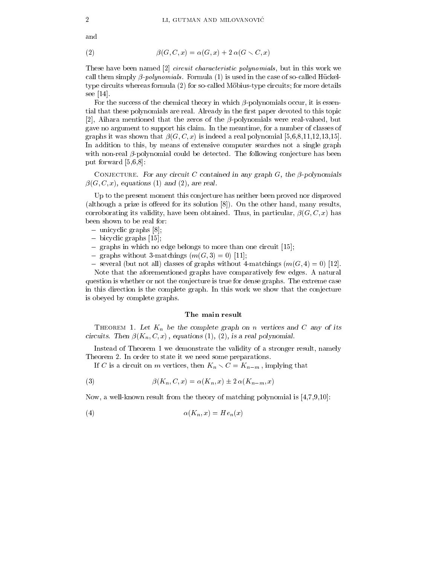and

$$
\beta(G, C, x) = \alpha(G, x) + 2 \alpha(G \setminus C, x)
$$

These have been named [2] *circuit characteristic polynomials*, but in this work we call them simply  $\beta$ -polynomials. Formula (1) is used in the case of so-called Hückeltype circuits whereas formula (2) for so-called Möbius-type circuits; for more details see [14].

For the success of the chemical theory in which  $\beta$ -polynomials occur, it is essential that these polynomials are real. Already in the first paper devoted to this topic [2], Aihara mentioned that the zeros of the  $\beta$ -polynomials were real-valued, but gave no argument to support his claim. In the meantime, for a number of classes of graphs it was shown that  $\beta(G, C, x)$  is indeed a real polynomial [5,6,8,11,12,13,15]. In addition to this, by means of extensive computer searches not a single graph with non-real  $\beta$ -polynomial could be detected. The following conjecture has been put forward [5,6,8]:

CONJECTURE. For any circuit C contained in any graph  $G$ , the  $\beta$ -polynomials  $\beta(G, C, x)$ , equations (1) and (2), are real.

Up to the present moment this conjecture has neither been proved nor disproved (although a prize is offered for its solution  $[8]$ ). On the other hand, many results, corroborating its validity, have been obtained. Thus, in particular,  $\beta(G, C, x)$  has been shown to be real for:

- $-$  unicyclic graphs  $[8]$ ;
- bicyclic graphs [15];
- $\frac{1}{2}$  graphs in which no edge belongs to more than one circuit [15];
- graphs without 3-matchings  $(m(G, 3) = 0)$  [11];
- several (but not all) classes of graphs without 4-matchings  $(m(G, 4) = 0)$  [12].

Note that the aforementioned graphs have comparatively few edges. A natural question is whether or not the conjecture is true for dense graphs. The extreme case in this direction is the complete graph. In this work we show that the conjecture is obeyed by complete graphs.

## The main result

THEOREM 1. Let  $K_n$  be the complete graph on n vertices and C any of its circuits. Then  $\beta(K_n, C, x)$ , equations (1), (2), is a real polynomial.

Instead of Theorem 1 we demonstrate the validity of a stronger result, namely Theorem 2. In order to state it we need some preparations.

If C is a circuit on m vertices, then  $K_n \setminus C = K_{n-m}$ , implying that

(3) 
$$
\beta(K_n, C, x) = \alpha(K_n, x) \pm 2 \alpha(K_{n-m}, x)
$$

Now, a well-known result from the theory of matching polynomial is [4,7,9,10]:

$$
(4) \qquad \qquad \alpha(K_n, x) = He_n(x)
$$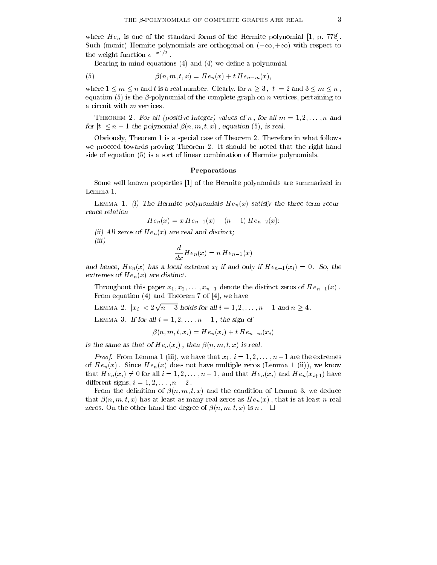where  $He_n$  is one of the standard forms of the Hermite polynomial [1, p. 778]. Such (monic) Hermite polynomials are orthogonal on  $(-\infty, +\infty)$  with respect to the weight function  $e^{-x^2/2}$ .

Bearing in mind equations  $(4)$  and  $(4)$  we define a polynomial

(5) 
$$
\beta(n, m, t, x) = He_n(x) + tHe_{n-m}(x),
$$

where  $1 \le m \le n$  and t is a real number. Clearly, for  $n > 3$ ,  $|t| = 2$  and  $3 \le m \le n$ , equation (5) is the  $\beta$ -polynomial of the complete graph on n vertices, pertaining to a circuit with <sup>m</sup> vertices.

THEOREM 2. For all (positive integer) values of n, for all  $m = 1, 2, \ldots, n$  and for  $|t| \leq n-1$  the polynomial  $\beta(n, m, t, x)$ , equation (5), is real.

Obviously, Theorem 1 is a special case of Theorem 2. Therefore in what follows we proceed towards proving Theorem 2. It should be noted that the right-hand side of equation (5) is a sort of linear combination of Hermite polynomials.

#### Preparations

Some well known properties [1] of the Hermite polynomials are summarized in Lemma 1.

LEMMA 1. (i) The Hermite polynomials  $He_n(x)$  satisfy the three-term recurrence relation

 $He_n(x) = x He_{n-1}(x) - (n - 1) He_{n-2}(x);$ 

(ii) All zeros of  $He_n(x)$  are real and distinct; (iii)

$$
\frac{d}{dx}He_n(x) = nHe_{n-1}(x)
$$

and hence,  $He_n(x)$  has a local extreme  $x_i$  if and only if  $He_{n-1}(x_i)=0$ . So, the extremes of  $He_n(x)$  are distinct.

Throughout this paper  $x_1, x_2, \ldots, x_{n-1}$  denote the distinct zeros of  $He_{n-1}(x)$ . From equation (4) and Theorem 7 of [4], we have

LEMMA 2.  $|x_i| < 2\sqrt{n-3}$  holds for all  $i = 1, 2, ..., n-1$  and  $n \ge 4$ .

LEMMA 3. If for all  $i = 1, 2, \ldots, n - 1$ , the sign of

$$
\beta(n, m, t, x_i) = He_n(x_i) + tHe_{n-m}(x_i)
$$

is the same as that of  $He_n(x_i)$ , then  $\beta(n, m, t, x)$  is real.

 $P$  roof. From Behing 1 (iii), we have that  $x_i$  ,  $i = 1, 2, \ldots, n$  are the extremes of  $He_n(x)$ . Since  $He_n(x)$  does not have multiple zeros (Lemma 1 (ii)), we know that  $He_n(x_i) \neq 0$  for all  $i = 1, 2, \ldots, n-1$ , and that  $He_n(x_i)$  and  $He_n(x_{i+1})$  have different signs,  $i = 1, 2, \ldots, n - 2$ .

From the definition of  $\beta(n, m, t, x)$  and the condition of Lemma 3, we deduce that  $\beta(n, m, t, x)$  has at least as many real zeros as  $He_n(x)$ , that is at least n real zeros. On the other hand the degree of  $\beta(n, m, t, x)$  is n.  $\Box$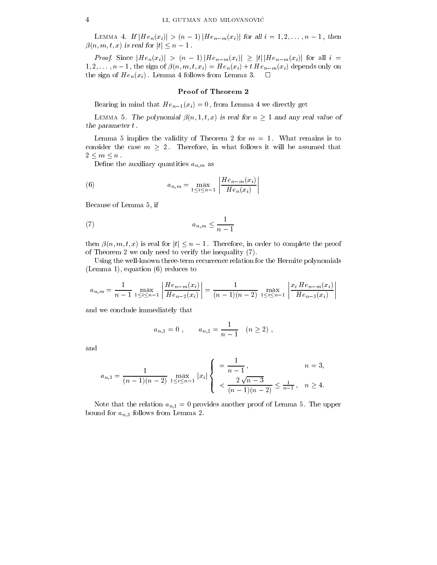LEMMA 4. If  $|He_n(x_i)| > (n-1) |He_{n-m}(x_i)|$  for all  $i = 1, 2, ..., n-1$ , then  $\beta(n, m, t, x)$  is real for  $|t| \leq n - 1$ .

 $P^{\text{max}}$  is sense if  $P^{\text{max}}$  if  $\|Y\|$  is the matrix  $\|Y\| = \|Y\|$  if  $\|Y\| = \|Y\| + \|Y\|$  if  $\|Y\| = \|Y\| + \|Y\|$  $1, 2, \ldots, n-1$ , the sign of  $\beta(n, m, t, x_i) = He_n(x_i) + tHe_{n-m}(x_i)$  depends only on the sign of  $He_n(x_i)$ . Lemma 4 follows from Lemma 3.  $\square$ 

## Proof of Theorem 2

Bearing in mind that  $He_{n-1}(x_i) = 0$ , from Lemma 4 we directly get

LEMMA 5. The polynomial  $\beta(n,1,t,x)$  is real for  $n \geq 1$  and any real value of the parameter <sup>t</sup> .

Lemma 5 implies the validity of Theorem 2 for  $m = 1$ . What remains is to consider the case  $m \geq 2$ . Therefore, in what follows it will be assumed that  $2 \leq m \leq n$ .

Define the auxiliary quantities  $a_{n,m}$  as

(6) 
$$
a_{n,m} = \max_{1 \leq i \leq n-1} \left| \frac{He_{n-m}(x_i)}{He_n(x_i)} \right|
$$

Because of Lemma 5, if

$$
(7) \t\t\t a_{n,m} \le \frac{1}{n-1}
$$

then  $\beta(n, m, t, x)$  is real for  $|t| \leq n - 1$ . Therefore, in order to complete the proof of Theorem 2 we only need to verify the inequality (7).

Using the well-known three-term recurrence relation for the Hermite polynomials (Lemma 1), equation (6) reduces to

$$
a_{n,m} = \frac{1}{n-1} \max_{1 \le i \le n-1} \left| \frac{He_{n-m}(x_i)}{He_{n-2}(x_i)} \right| = \frac{1}{(n-1)(n-2)} \max_{1 \le i \le n-1} \left| \frac{x_i He_{n-m}(x_i)}{He_{n-3}(x_i)} \right|
$$

and we conclude immediately that

$$
a_{n,1} = 0
$$
,  $a_{n,2} = \frac{1}{n-1}$   $(n \ge 2)$ ,

and

$$
a_{n,3} = \frac{1}{(n-1)(n-2)} \max_{1 \le i \le n-1} |x_i| \begin{cases} \frac{1}{n-1}, & n = 3, \\ & \frac{2\sqrt{n-3}}{(n-1)(n-2)} \le \frac{1}{n-1}, & n \ge 4. \end{cases}
$$

Note that the relation  $a_{n,1} = 0$  provides another proof of Lemma 5. The upper bound for  $a_{n,3}$  follows from Lemma 2.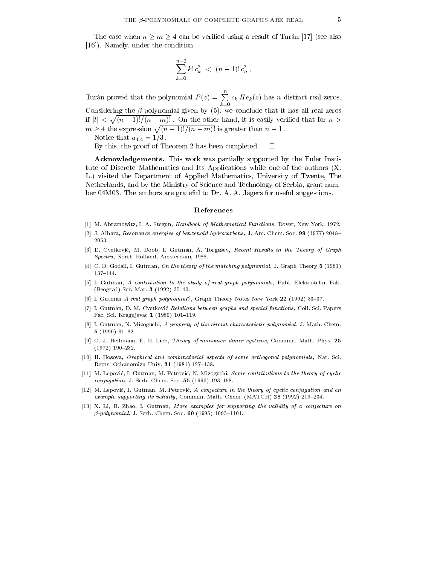The case when  $n \geq m \geq 4$  can be verified using a result of Turán [17] (see also [16]). Namely, under the condition

$$
\sum_{k=0}^{n-2} k! \, c_k^2 \, < \, (n-1)! \, c_n^2 \,,
$$

Turán proved that the polynomial  $P(z) = \sum c_k H e_k(z)$  $c_k$  if  $c_k$  ( $\alpha$ ) has not distinct real zeros.

Considering the  $\beta$ -polynomial given by (5), we conclude that it has all real zeros if  $|t| < \sqrt{(n-1)!/(n-m)!}$ . On the other hand, it is easily verified that for  $n >$  $m > 4$  the expression  $\sqrt{(n-1)!/(n-m)!}$  is greater than  $n-1$ .

Notice that  $a_{4,4} = 1/3$ .

By this, the proof of Theorem 2 has been completed.  $\Box$ 

Acknowledgements. This work was partially supported by the Euler Institute of Discrete Mathematics and Its Applications while one of the authors (X. L.) visited the Department of Applied Mathematics, University of Twente, The Netherlands, and by the Ministry of Science and Technology of Serbia, grant number 04M03. The authors are grateful to Dr. A. A. Jagers for useful suggestions.

#### References

- [1] M. Abramowitz, I. A. Stegun, Handbook of Mathematical Functions, Dover, New York, 1972.
- [2] J. Aihara, Resonance energies of benzenoid hydrocarbons, J. Am. Chem. Soc. 99 (1977) 2048– 2053.
- [3] D. Cvetković, M. Doob, I. Gutman, A. Torgašev, Recent Results in the Theory of Graph Spectra, North-Holland, Amsterdam, 1988.
- [4] C. D. Godsil, I. Gutman, On the theory of the matching polynomial, J. Graph Theory 5 (1981) 137-144.
- [5] I. Gutman, A contribution to the study of real graph polynomials, Publ. Elektrotehn. Fak. (Beograd) Ser. Mat.  $3(1992)$  35-40.
- [6] I. Gutman A real graph polynomial?, Graph Theory Notes New York  $22$  (1992) 33-37.
- [7] I. Gutman, D. M. Cvetković Relations between graphs and special functions, Coll. Sci. Papers Fac. Sci. Kragujevac 1 (1980) 101-119.
- [8] I. Gutman, N. Mizoguchi, A property of the circuit characteristic polynomial, J. Math. Chem. 5  $(1990)$  81-82.
- [9] O. J. Heilmann, E. H. Lieb, Theory of monomer-dimer systems, Commun. Math. Phys. 25  $(1972)$  190-232.
- [10] H. Hosoya, Graphical and combinatorial aspects of some orthogonal polynomials, Nat. Sci. Repts. Ochanomizu Univ.  $31$  (1981) 127-138.
- [11] M. Lepović, I. Gutman, M. Petrović, N. Mizoguchi, Some contributions to the theory of cyclic  $conjugation$ , J. Serb. Chem. Soc. 55 (1990) 193-198.
- [12] M. Lepovic, I. Gutman, M. Petrovic, A conjecture in the theory of cyclic conjugation and an example supporting its validity, Commun. Math. Chem. (MATCH)  $28$  (1992) 219-234.
- [13] X. Li, B. Zhao, I. Gutman, More examples for supporting the validity of a conjecture on  $\beta$ -polynomial, J. Serb. Chem. Soc. 60 (1995) 1095-1101.